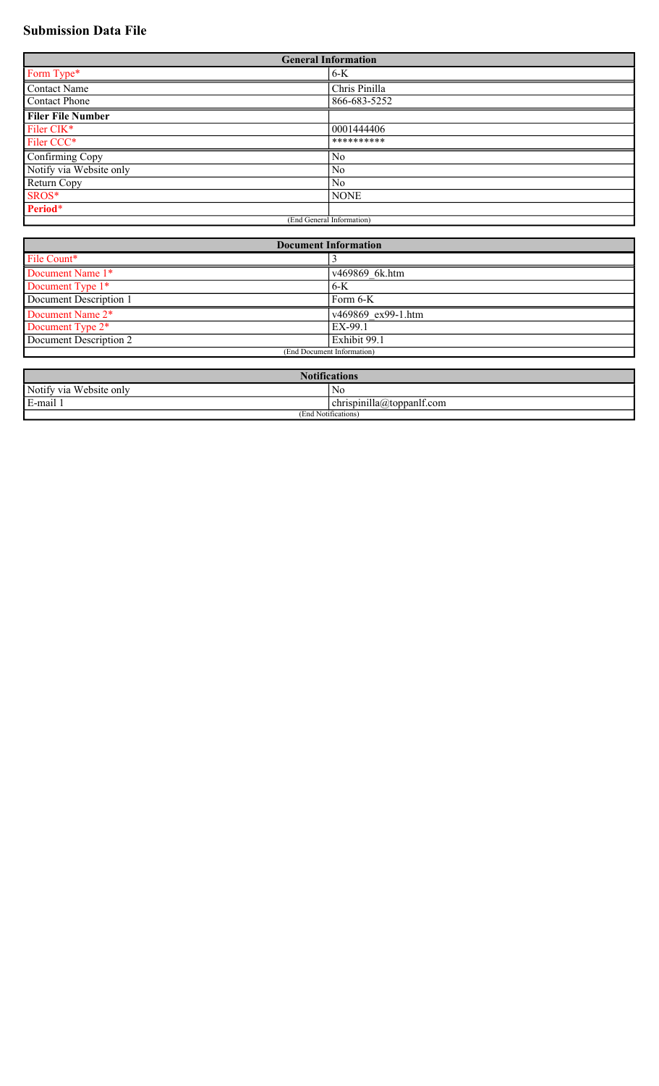# **Submission Data File**

| <b>General Information</b> |                |  |
|----------------------------|----------------|--|
| Form Type*                 | 6-K            |  |
| Contact Name               | Chris Pinilla  |  |
| Contact Phone              | 866-683-5252   |  |
| <b>Filer File Number</b>   |                |  |
| Filer CIK*                 | 0001444406     |  |
| Filer CCC*                 | **********     |  |
| Confirming Copy            | No             |  |
| Notify via Website only    | N <sub>0</sub> |  |
| Return Copy                | No             |  |
| SROS*                      | <b>NONE</b>    |  |
| Period*                    |                |  |
| (End General Information)  |                |  |

| <b>Document Information</b> |                    |  |
|-----------------------------|--------------------|--|
| File Count*                 |                    |  |
| Document Name 1*            | v469869 6k.htm     |  |
| Document Type 1*            | 6-K                |  |
| Document Description 1      | Form $6-K$         |  |
| Document Name 2*            | v469869 ex99-1.htm |  |
| Document Type 2*            | EX-99.1            |  |
| Document Description 2      | Exhibit 99.1       |  |
| (End Document Information)  |                    |  |

| <b>Notifications</b>                 |                                               |  |
|--------------------------------------|-----------------------------------------------|--|
| Notify via Website only              | No                                            |  |
| .<br>E.<br>E-mail 1                  | $\epsilon$ chrispinilla $\omega$ toppanit.com |  |
| $\cdots$<br>(End<br>1 Notifications. |                                               |  |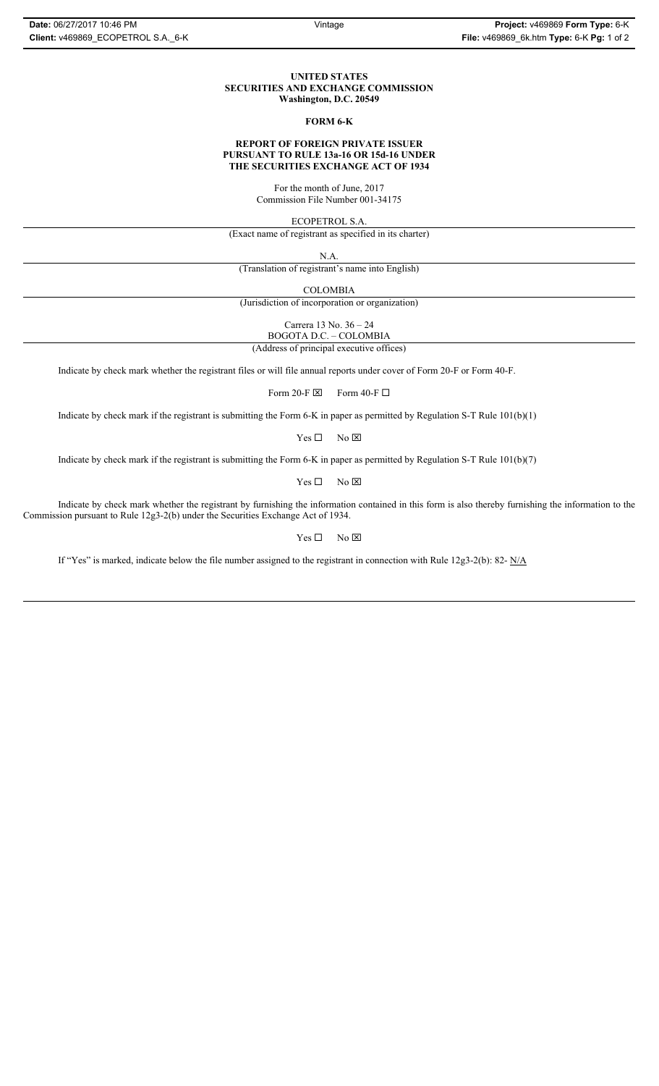## **UNITED STATES SECURITIES AND EXCHANGE COMMISSION Washington, D.C. 20549**

#### **FORM 6-K**

#### **REPORT OF FOREIGN PRIVATE ISSUER PURSUANT TO RULE 13a-16 OR 15d-16 UNDER THE SECURITIES EXCHANGE ACT OF 1934**

For the month of June, 2017 Commission File Number 001-34175

ECOPETROL S.A.

(Exact name of registrant as specified in its charter)

N.A.

(Translation of registrant's name into English)

COLOMBIA

(Jurisdiction of incorporation or organization)

Carrera 13 No. 36 – 24

BOGOTA D.C. – COLOMBIA

(Address of principal executive offices)

Indicate by check mark whether the registrant files or will file annual reports under cover of Form 20-F or Form 40-F.

Form 20-F  $\boxtimes$  Form 40-F  $\Box$ 

Indicate by check mark if the registrant is submitting the Form 6-K in paper as permitted by Regulation S-T Rule 101(b)(1)

 $Yes \Box$  No  $\boxtimes$ 

Indicate by check mark if the registrant is submitting the Form 6-K in paper as permitted by Regulation S-T Rule 101(b)(7)

 $Yes \Box$  No  $\boxtimes$ 

Indicate by check mark whether the registrant by furnishing the information contained in this form is also thereby furnishing the information to the Commission pursuant to Rule 12g3-2(b) under the Securities Exchange Act of 1934.

 $Yes \Box$  No  $\boxtimes$ 

If "Yes" is marked, indicate below the file number assigned to the registrant in connection with Rule 12g3-2(b): 82- N/A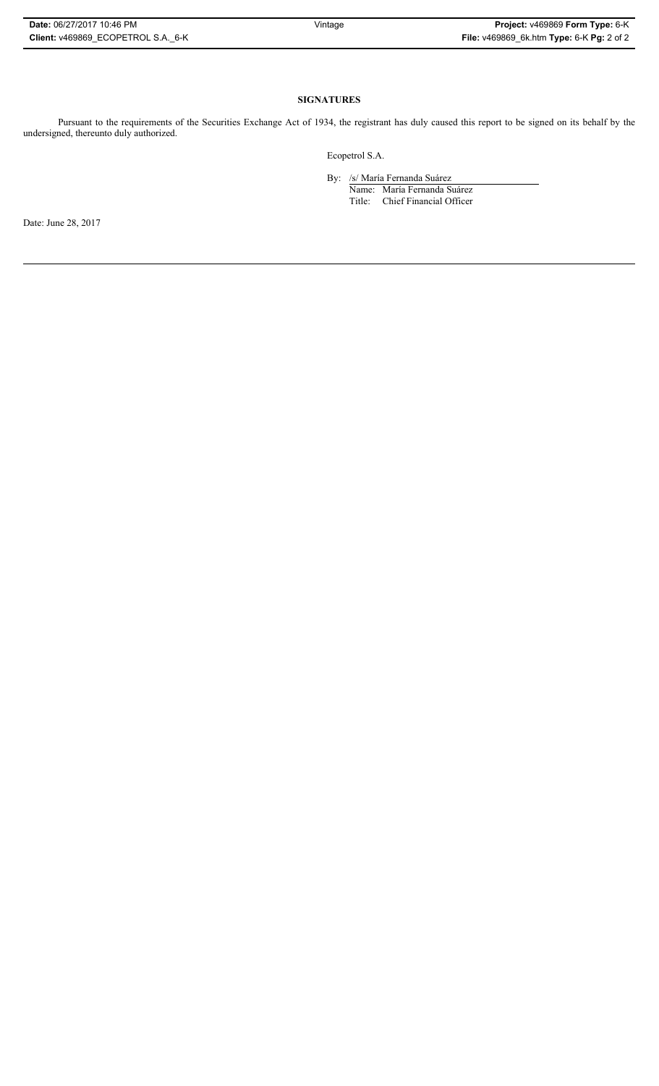| Date: 06/27/2017 10:46 PM          | Vintage | Project: v469869 Form Type: 6-K           |
|------------------------------------|---------|-------------------------------------------|
| Client: v469869 ECOPETROL S.A. 6-K |         | File: v469869_6k.htm Type: 6-K Pg: 2 of 2 |

# **SIGNATURES**

Pursuant to the requirements of the Securities Exchange Act of 1934, the registrant has duly caused this report to be signed on its behalf by the undersigned, thereunto duly authorized.

Ecopetrol S.A.

By: /s/ María Fernanda Suárez

Name: María Fernanda Suárez Title: Chief Financial Officer

Date: June 28, 2017